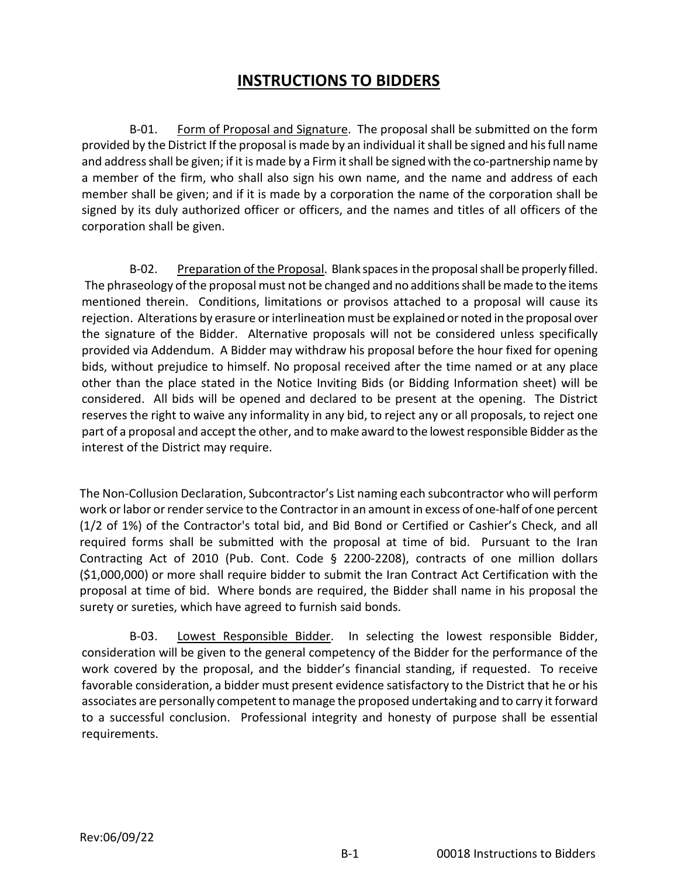## **INSTRUCTIONS TO BIDDERS**

B-01. Form of Proposal and Signature. The proposal shall be submitted on the form provided by the District If the proposal is made by an individual it shall be signed and his full name and address shall be given; if it is made by a Firm it shall be signed with the co-partnership name by a member of the firm, who shall also sign his own name, and the name and address of each member shall be given; and if it is made by a corporation the name of the corporation shall be signed by its duly authorized officer or officers, and the names and titles of all officers of the corporation shall be given.

B-02. Preparation of the Proposal. Blank spaces in the proposal shall be properly filled. The phraseology of the proposal must not be changed and no additions shall be made to the items mentioned therein. Conditions, limitations or provisos attached to a proposal will cause its rejection. Alterations by erasure or interlineation must be explained or noted in the proposal over the signature of the Bidder. Alternative proposals will not be considered unless specifically provided via Addendum. A Bidder may withdraw his proposal before the hour fixed for opening bids, without prejudice to himself. No proposal received after the time named or at any place other than the place stated in the Notice Inviting Bids (or Bidding Information sheet) will be considered. All bids will be opened and declared to be present at the opening. The District reserves the right to waive any informality in any bid, to reject any or all proposals, to reject one part of a proposal and accept the other, and to make award to the lowest responsible Bidder as the interest of the District may require.

The Non-Collusion Declaration, Subcontractor's List naming each subcontractor who will perform work or labor or render service to the Contractor in an amount in excess of one-half of one percent (1/2 of 1%) of the Contractor's total bid, and Bid Bond or Certified or Cashier's Check, and all required forms shall be submitted with the proposal at time of bid. Pursuant to the Iran Contracting Act of 2010 (Pub. Cont. Code § 2200-2208), contracts of one million dollars (\$1,000,000) or more shall require bidder to submit the Iran Contract Act Certification with the proposal at time of bid. Where bonds are required, the Bidder shall name in his proposal the surety or sureties, which have agreed to furnish said bonds.

B-03. Lowest Responsible Bidder. In selecting the lowest responsible Bidder, consideration will be given to the general competency of the Bidder for the performance of the work covered by the proposal, and the bidder's financial standing, if requested. To receive favorable consideration, a bidder must present evidence satisfactory to the District that he or his associates are personally competent to manage the proposed undertaking and to carry it forward to a successful conclusion. Professional integrity and honesty of purpose shall be essential requirements.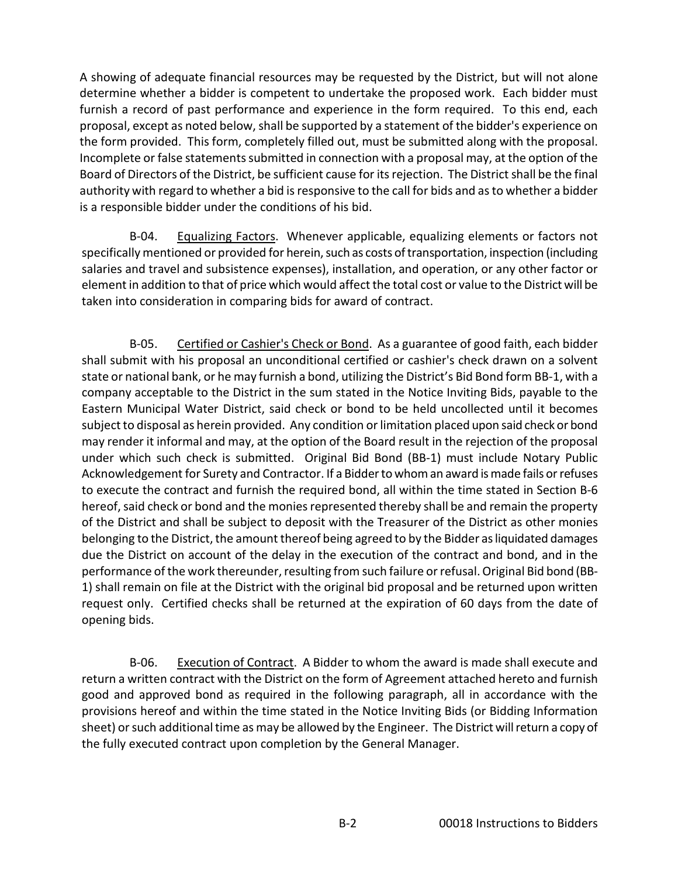A showing of adequate financial resources may be requested by the District, but will not alone determine whether a bidder is competent to undertake the proposed work. Each bidder must furnish a record of past performance and experience in the form required. To this end, each proposal, except as noted below, shall be supported by a statement of the bidder's experience on the form provided. This form, completely filled out, must be submitted along with the proposal. Incomplete or false statements submitted in connection with a proposal may, at the option of the Board of Directors of the District, be sufficient cause for its rejection. The District shall be the final authority with regard to whether a bid is responsive to the call for bids and as to whether a bidder is a responsible bidder under the conditions of his bid.

B-04. Equalizing Factors. Whenever applicable, equalizing elements or factors not specifically mentioned or provided for herein, such as costs of transportation, inspection (including salaries and travel and subsistence expenses), installation, and operation, or any other factor or element in addition to that of price which would affect the total cost or value to the District will be taken into consideration in comparing bids for award of contract.

B-05. Certified or Cashier's Check or Bond. As a guarantee of good faith, each bidder shall submit with his proposal an unconditional certified or cashier's check drawn on a solvent state or national bank, or he may furnish a bond, utilizing the District's Bid Bond form BB-1, with a company acceptable to the District in the sum stated in the Notice Inviting Bids, payable to the Eastern Municipal Water District, said check or bond to be held uncollected until it becomes subject to disposal as herein provided. Any condition or limitation placed upon said check or bond may render it informal and may, at the option of the Board result in the rejection of the proposal under which such check is submitted. Original Bid Bond (BB-1) must include Notary Public Acknowledgement for Surety and Contractor. If a Bidder to whom an award is made fails or refuses to execute the contract and furnish the required bond, all within the time stated in Section B-6 hereof, said check or bond and the monies represented thereby shall be and remain the property of the District and shall be subject to deposit with the Treasurer of the District as other monies belonging to the District, the amount thereof being agreed to by the Bidder as liquidated damages due the District on account of the delay in the execution of the contract and bond, and in the performance of the work thereunder, resulting from such failure or refusal. Original Bid bond (BB-1) shall remain on file at the District with the original bid proposal and be returned upon written request only. Certified checks shall be returned at the expiration of 60 days from the date of opening bids.

B-06. Execution of Contract. A Bidder to whom the award is made shall execute and return a written contract with the District on the form of Agreement attached hereto and furnish good and approved bond as required in the following paragraph, all in accordance with the provisions hereof and within the time stated in the Notice Inviting Bids (or Bidding Information sheet) or such additional time as may be allowed by the Engineer. The District will return a copy of the fully executed contract upon completion by the General Manager.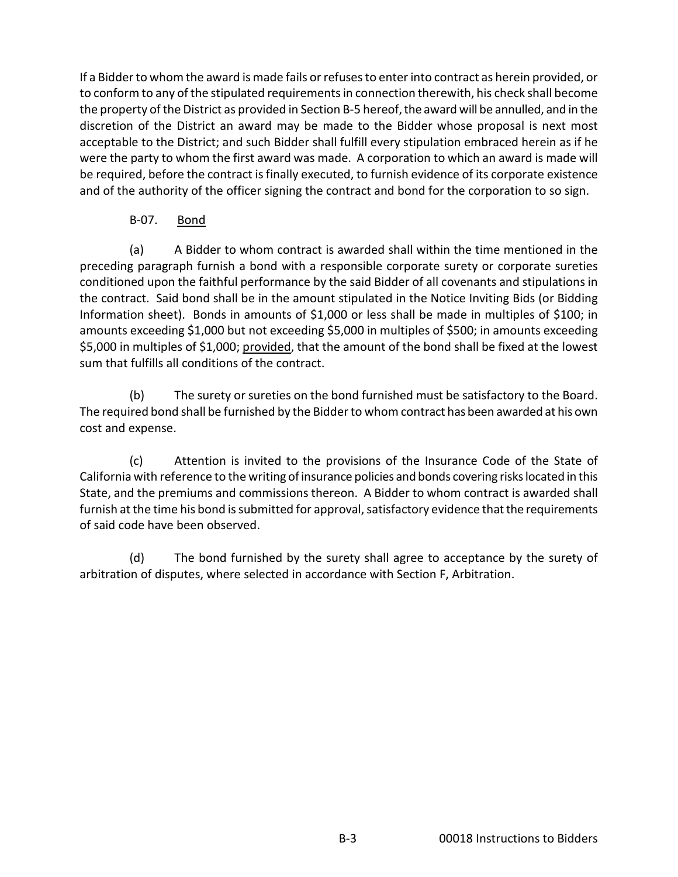If a Bidder to whom the award is made fails or refuses to enter into contract as herein provided, or to conform to any of the stipulated requirements in connection therewith, his check shall become the property of the District as provided in Section B-5 hereof, the award will be annulled, and in the discretion of the District an award may be made to the Bidder whose proposal is next most acceptable to the District; and such Bidder shall fulfill every stipulation embraced herein as if he were the party to whom the first award was made. A corporation to which an award is made will be required, before the contract is finally executed, to furnish evidence of its corporate existence and of the authority of the officer signing the contract and bond for the corporation to so sign.

## B-07. Bond

(a) A Bidder to whom contract is awarded shall within the time mentioned in the preceding paragraph furnish a bond with a responsible corporate surety or corporate sureties conditioned upon the faithful performance by the said Bidder of all covenants and stipulations in the contract. Said bond shall be in the amount stipulated in the Notice Inviting Bids (or Bidding Information sheet). Bonds in amounts of \$1,000 or less shall be made in multiples of \$100; in amounts exceeding \$1,000 but not exceeding \$5,000 in multiples of \$500; in amounts exceeding \$5,000 in multiples of \$1,000; provided, that the amount of the bond shall be fixed at the lowest sum that fulfills all conditions of the contract.

(b) The surety or sureties on the bond furnished must be satisfactory to the Board. The required bond shall be furnished by the Bidder to whom contract has been awarded at his own cost and expense.

(c) Attention is invited to the provisions of the Insurance Code of the State of California with reference to the writing of insurance policies and bonds covering risks located in this State, and the premiums and commissions thereon. A Bidder to whom contract is awarded shall furnish at the time his bond is submitted for approval, satisfactory evidence that the requirements of said code have been observed.

(d) The bond furnished by the surety shall agree to acceptance by the surety of arbitration of disputes, where selected in accordance with Section F, Arbitration.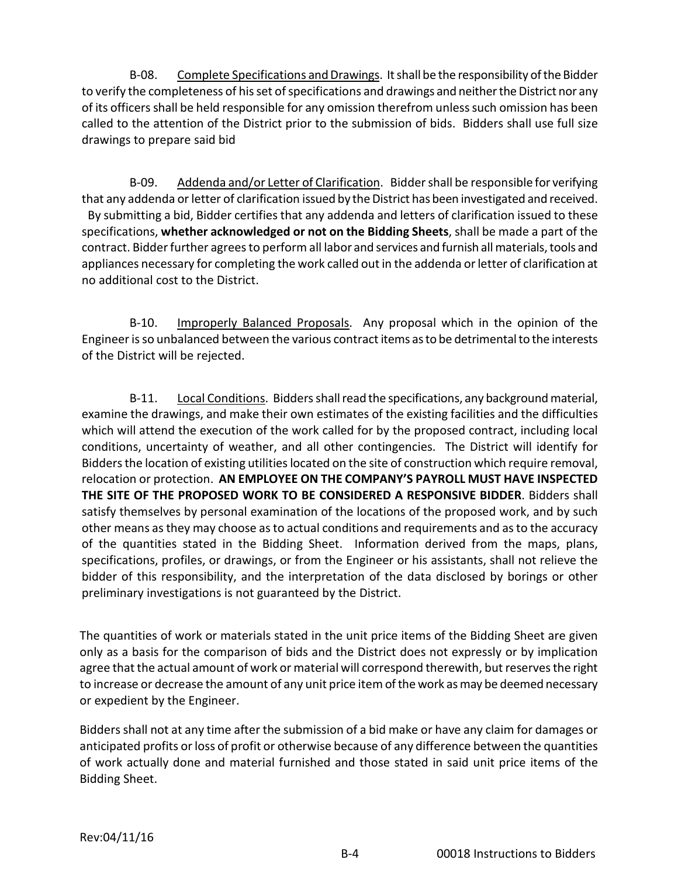B-08. Complete Specifications and Drawings. It shall be the responsibility of the Bidder to verify the completeness of his set of specifications and drawings and neither the District nor any of its officers shall be held responsible for any omission therefrom unless such omission has been called to the attention of the District prior to the submission of bids. Bidders shall use full size drawings to prepare said bid

B-09. Addenda and/or Letter of Clarification. Bidder shall be responsible for verifying that any addenda or letter of clarification issued by the District has been investigated and received. By submitting a bid, Bidder certifies that any addenda and letters of clarification issued to these specifications, **whether acknowledged or not on the Bidding Sheets**, shall be made a part of the contract. Bidder further agrees to perform all labor and services and furnish all materials, tools and appliances necessary for completing the work called out in the addenda or letter of clarification at no additional cost to the District.

B-10. Improperly Balanced Proposals. Any proposal which in the opinion of the Engineer is so unbalanced between the various contract items as to be detrimental to the interests of the District will be rejected.

B-11. Local Conditions. Bidders shall read the specifications, any background material, examine the drawings, and make their own estimates of the existing facilities and the difficulties which will attend the execution of the work called for by the proposed contract, including local conditions, uncertainty of weather, and all other contingencies. The District will identify for Bidders the location of existing utilities located on the site of construction which require removal, relocation or protection. **AN EMPLOYEE ON THE COMPANY'S PAYROLL MUST HAVE INSPECTED THE SITE OF THE PROPOSED WORK TO BE CONSIDERED A RESPONSIVE BIDDER**. Bidders shall satisfy themselves by personal examination of the locations of the proposed work, and by such other means as they may choose as to actual conditions and requirements and as to the accuracy of the quantities stated in the Bidding Sheet. Information derived from the maps, plans, specifications, profiles, or drawings, or from the Engineer or his assistants, shall not relieve the bidder of this responsibility, and the interpretation of the data disclosed by borings or other preliminary investigations is not guaranteed by the District.

The quantities of work or materials stated in the unit price items of the Bidding Sheet are given only as a basis for the comparison of bids and the District does not expressly or by implication agree that the actual amount of work or material will correspond therewith, but reserves the right to increase or decrease the amount of any unit price item of the work as may be deemed necessary or expedient by the Engineer.

Bidders shall not at any time after the submission of a bid make or have any claim for damages or anticipated profits or loss of profit or otherwise because of any difference between the quantities of work actually done and material furnished and those stated in said unit price items of the Bidding Sheet.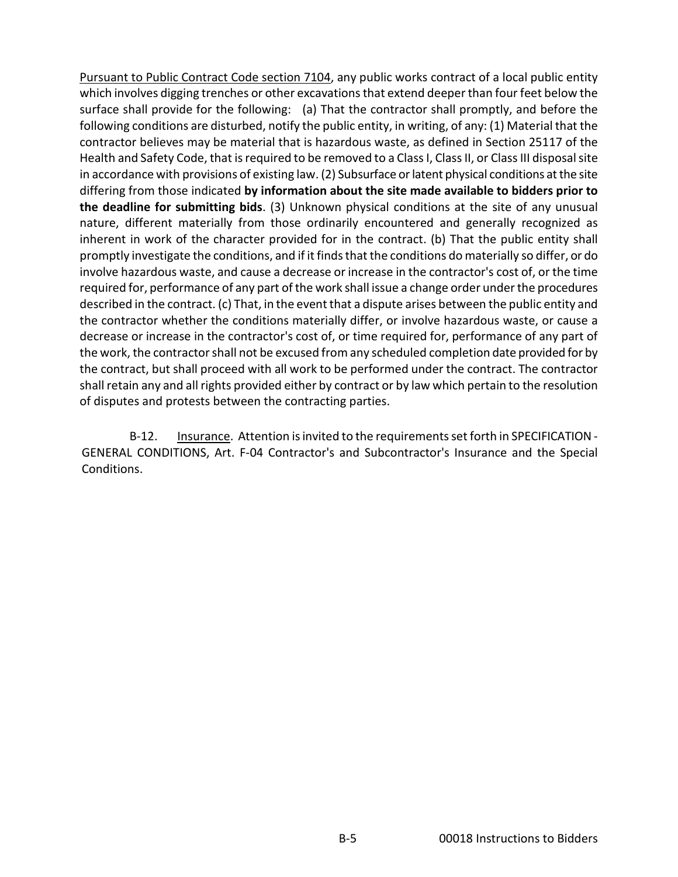Pursuant to Public Contract Code section 7104, any public works contract of a local public entity which involves digging trenches or other excavations that extend deeper than four feet below the surface shall provide for the following: (a) That the contractor shall promptly, and before the following conditions are disturbed, notify the public entity, in writing, of any: (1) Material that the contractor believes may be material that is hazardous waste, as defined in Section 25117 of the Health and Safety Code, that is required to be removed to a Class I, Class II, or Class III disposal site in accordance with provisions of existing law. (2) Subsurface or latent physical conditions at the site differing from those indicated **by information about the site made available to bidders prior to the deadline for submitting bids**. (3) Unknown physical conditions at the site of any unusual nature, different materially from those ordinarily encountered and generally recognized as inherent in work of the character provided for in the contract. (b) That the public entity shall promptly investigate the conditions, and if it finds that the conditions do materially so differ, or do involve hazardous waste, and cause a decrease or increase in the contractor's cost of, or the time required for, performance of any part of the work shall issue a change order under the procedures described in the contract. (c) That, in the event that a dispute arises between the public entity and the contractor whether the conditions materially differ, or involve hazardous waste, or cause a decrease or increase in the contractor's cost of, or time required for, performance of any part of the work, the contractor shall not be excused from any scheduled completion date provided for by the contract, but shall proceed with all work to be performed under the contract. The contractor shall retain any and all rights provided either by contract or by law which pertain to the resolution of disputes and protests between the contracting parties.

B-12. Insurance. Attention is invited to the requirements set forth in SPECIFICATION -GENERAL CONDITIONS, Art. F-04 Contractor's and Subcontractor's Insurance and the Special Conditions.